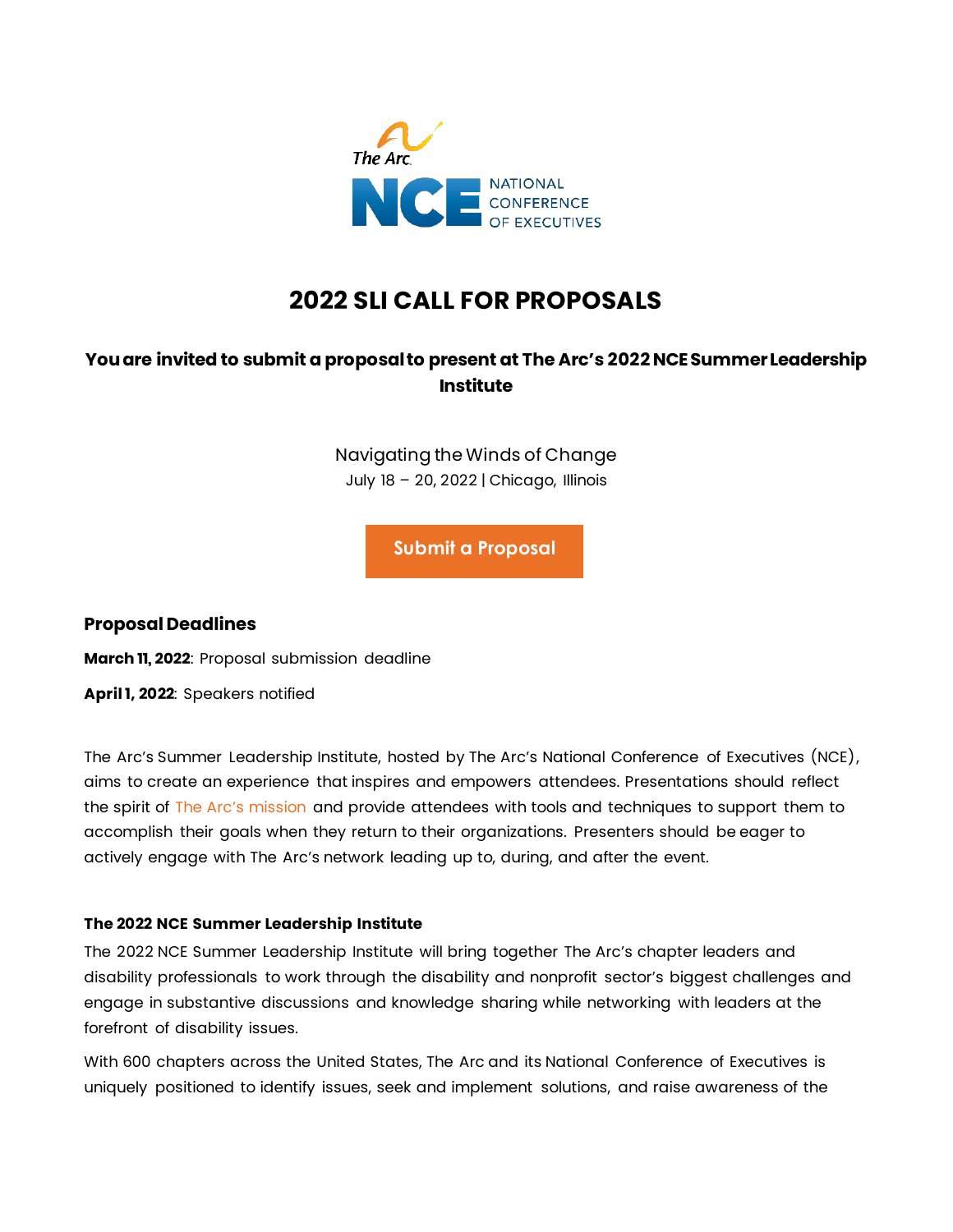

# **2022 SLI CALL FOR PROPOSALS**

# **You are invited to submit a proposal to present at The Arc's 2022 NCE Summer Leadership Institute**

Navigating the Winds of Change July 18 – 20, 2022 | Chicago, Illinois

**[Submit a Proposal](https://www.abstractscorecard.com/cfp/submit/login.asp?EventKey=WIMQXZLJ)**

# **Proposal Deadlines**

**March 11, 2022**: Proposal submission deadline

**April 1, 2022**: Speakers notified

The Arc's Summer Leadership Institute, hosted by The Arc's National Conference of Executives (NCE), aims to create an experience that inspires and empowers attendees. Presentations should reflect the spirit of The Arc's [mission](https://thearc.org/about-us/mission-values/) and provide attendees with tools and techniques to support them to accomplish their goals when they return to their organizations. Presenters should be eager to actively engage with The Arc's network leading up to, during, and after the event.

#### **The 2022 NCE Summer Leadership Institute**

The 2022 NCE Summer Leadership Institute will bring together The Arc's chapter leaders and disability professionals to work through the disability and nonprofit sector's biggest challenges and engage in substantive discussions and knowledge sharing while networking with leaders at the forefront of disability issues.

With 600 chapters across the United States, The Arc and its National Conference of Executives is uniquely positioned to identify issues, seek and implement solutions, and raise awareness of the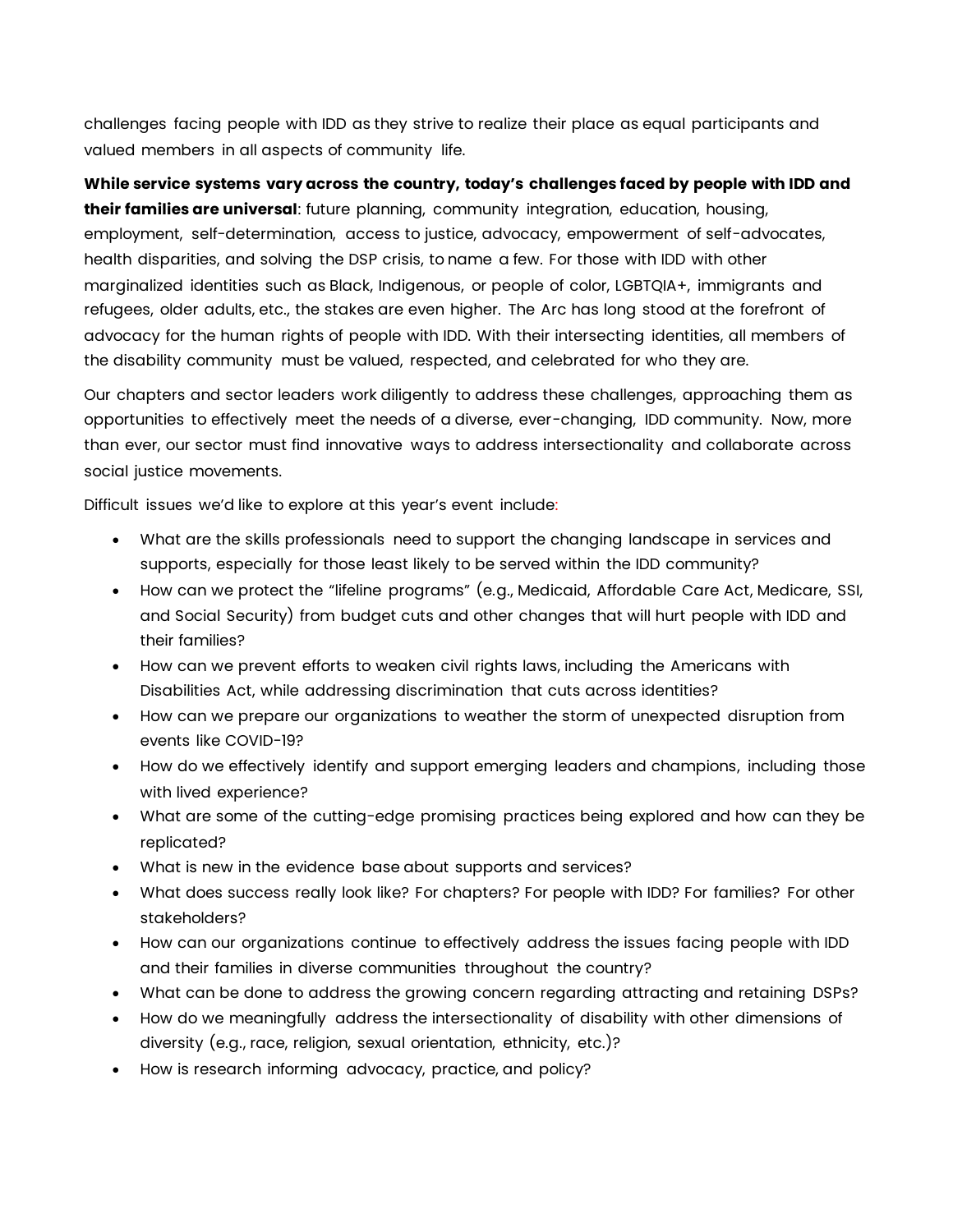challenges facing people with IDD as they strive to realize their place as equal participants and valued members in all aspects of community life.

**While service systems vary across the country, today's challenges faced by people with IDD and their families are universal**: future planning, community integration, education, housing, employment, self-determination, access to justice, advocacy, empowerment of self-advocates, health disparities, and solving the DSP crisis, to name a few. For those with IDD with other marginalized identities such as Black, Indigenous, or people of color, LGBTQIA+, immigrants and refugees, older adults, etc., the stakes are even higher. The Arc has long stood at the forefront of advocacy for the human rights of people with IDD. With their intersecting identities, all members of the disability community must be valued, respected, and celebrated for who they are.

Our chapters and sector leaders work diligently to address these challenges, approaching them as opportunities to effectively meet the needs of a diverse, ever-changing, IDD community. Now, more than ever, our sector must find innovative ways to address intersectionality and collaborate across social justice movements.

Difficult issues we'd like to explore at this year's event include:

- What are the skills professionals need to support the changing landscape in services and supports, especially for those least likely to be served within the IDD community?
- How can we protect the "lifeline programs" (e.g., Medicaid, Affordable Care Act, Medicare, SSI, and Social Security) from budget cuts and other changes that will hurt people with IDD and their families?
- How can we prevent efforts to weaken civil rights laws, including the Americans with Disabilities Act, while addressing discrimination that cuts across identities?
- How can we prepare our organizations to weather the storm of unexpected disruption from events like COVID-19?
- How do we effectively identify and support emerging leaders and champions, including those with lived experience?
- What are some of the cutting-edge promising practices being explored and how can they be replicated?
- What is new in the evidence base about supports and services?
- What does success really look like? For chapters? For people with IDD? For families? For other stakeholders?
- How can our organizations continue to effectively address the issues facing people with IDD and their families in diverse communities throughout the country?
- What can be done to address the growing concern regarding attracting and retaining DSPs?
- How do we meaningfully address the intersectionality of disability with other dimensions of diversity (e.g., race, religion, sexual orientation, ethnicity, etc.)?
- How is research informing advocacy, practice, and policy?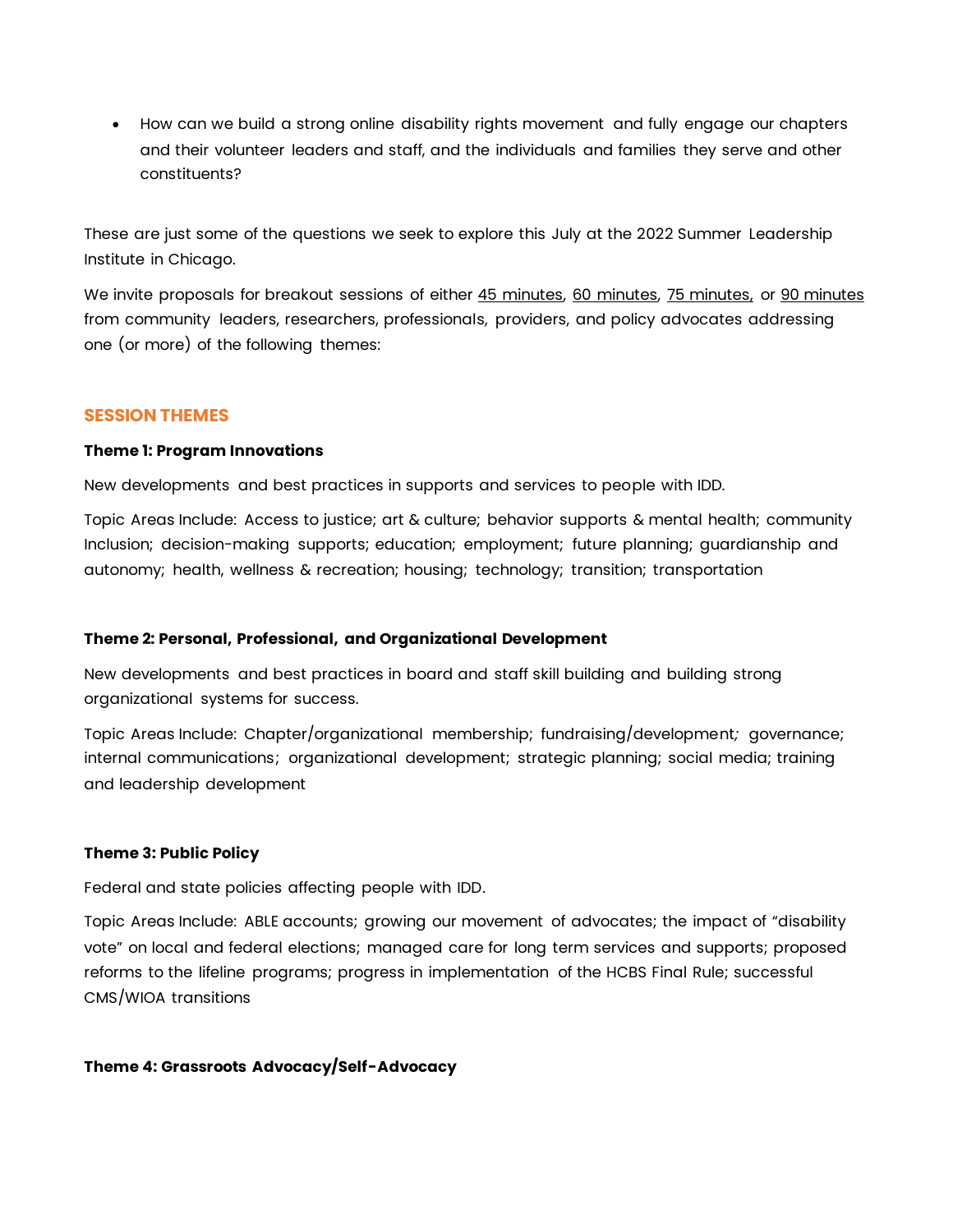• How can we build a strong online disability rights movement and fully engage our chapters and their volunteer leaders and staff, and the individuals and families they serve and other constituents?

These are just some of the questions we seek to explore this July at the 2022 Summer Leadership Institute in Chicago.

We invite proposals for breakout sessions of either 45 minutes, 60 minutes, 75 minutes, or 90 minutes from community leaders, researchers, professionals, providers, and policy advocates addressing one (or more) of the following themes:

# **SESSION THEMES**

#### **Theme 1: Program Innovations**

New developments and best practices in supports and services to people with IDD.

Topic Areas Include: Access to justice; art & culture; behavior supports & mental health; community Inclusion; decision-making supports; education; employment; future planning; guardianship and autonomy; health, wellness & recreation; housing; technology; transition; transportation

#### **Theme 2: Personal, Professional, and Organizational Development**

New developments and best practices in board and staff skill building and building strong organizational systems for success.

Topic Areas Include: Chapter/organizational membership; fundraising/development*;* governance; internal communications; organizational development; strategic planning; social media; training and leadership development

#### **Theme 3: Public Policy**

Federal and state policies affecting people with IDD.

Topic Areas Include: ABLE accounts; growing our movement of advocates; the impact of "disability vote" on local and federal elections; managed care for long term services and supports; proposed reforms to the lifeline programs; progress in implementation of the HCBS Final Rule; successful CMS/WIOA transitions

# **Theme 4: Grassroots Advocacy/Self-Advocacy**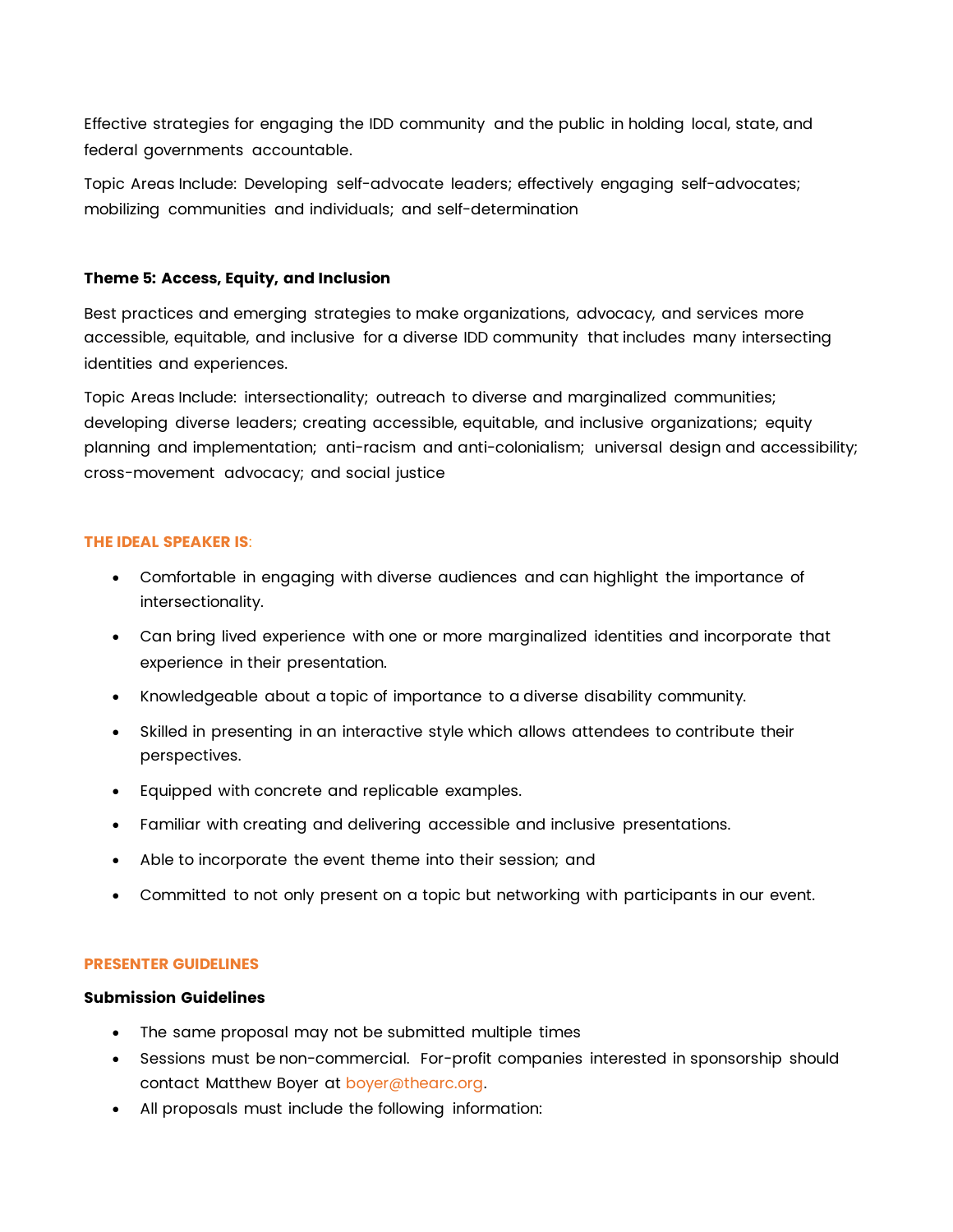Effective strategies for engaging the IDD community and the public in holding local, state, and federal governments accountable.

Topic Areas Include: Developing self-advocate leaders; effectively engaging self-advocates; mobilizing communities and individuals; and self-determination

#### **Theme 5: Access, Equity, and Inclusion**

Best practices and emerging strategies to make organizations, advocacy, and services more accessible, equitable, and inclusive for a diverse IDD community that includes many intersecting identities and experiences.

Topic Areas Include: intersectionality; outreach to diverse and marginalized communities; developing diverse leaders; creating accessible, equitable, and inclusive organizations; equity planning and implementation; anti-racism and anti-colonialism; universal design and accessibility; cross-movement advocacy; and social justice

#### **THE IDEAL SPEAKER IS**:

- Comfortable in engaging with diverse audiences and can highlight the importance of intersectionality.
- Can bring lived experience with one or more marginalized identities and incorporate that experience in their presentation.
- Knowledgeable about a topic of importance to a diverse disability community.
- Skilled in presenting in an interactive style which allows attendees to contribute their perspectives.
- Equipped with concrete and replicable examples.
- Familiar with creating and delivering accessible and inclusive presentations.
- Able to incorporate the event theme into their session; and
- Committed to not only present on a topic but networking with participants in our event.

#### **PRESENTER GUIDELINES**

# **Submission Guidelines**

- The same proposal may not be submitted multiple times
- Sessions must be non-commercial. For-profit companies interested in sponsorship should contact Matthew Boyer a[t boyer@thearc.org.](mailto:boyer@thearc.org)
- All proposals must include the following information: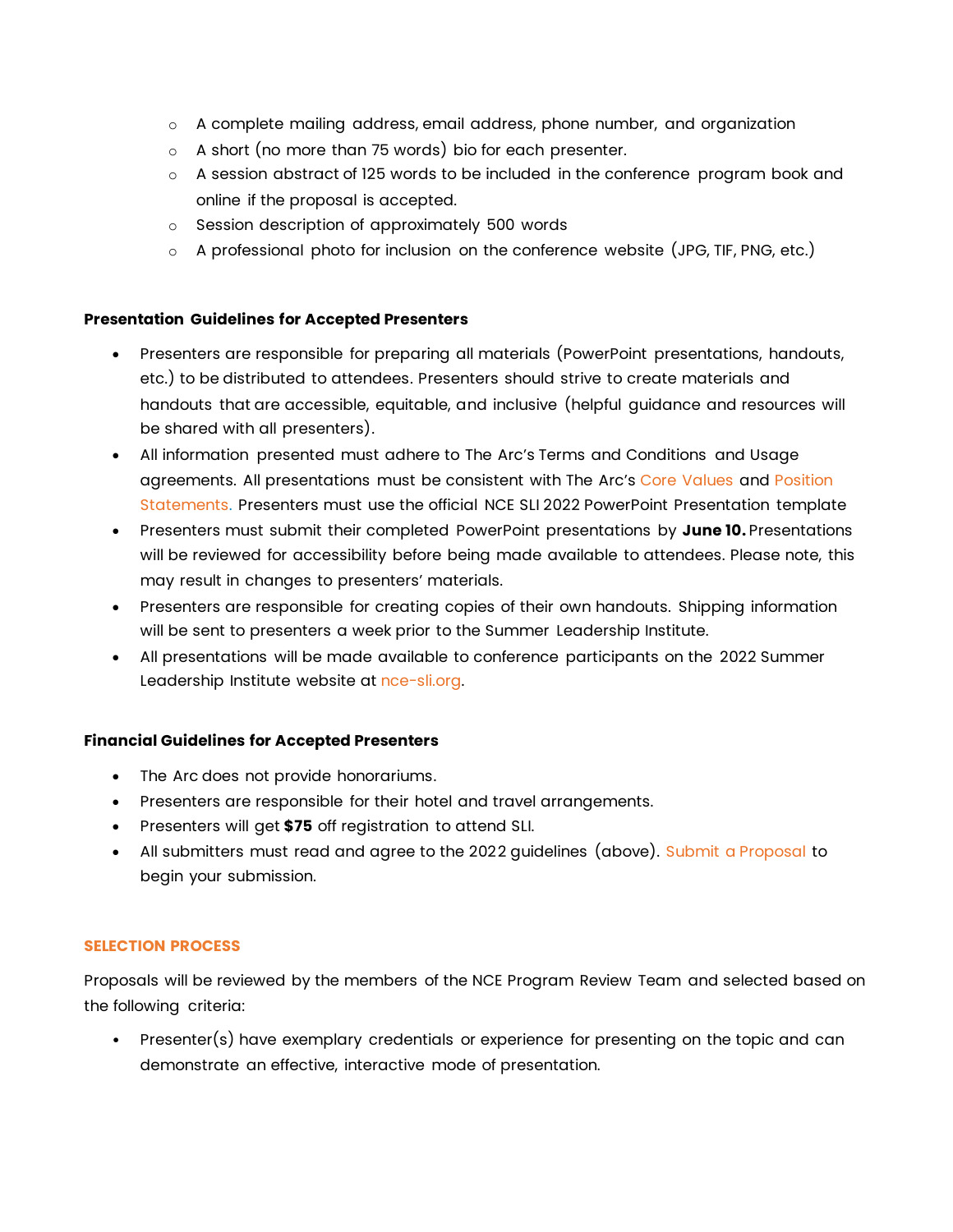- o A complete mailing address, email address, phone number, and organization
- o A short (no more than 75 words) bio for each presenter.
- $\circ$  A session abstract of 125 words to be included in the conference program book and online if the proposal is accepted.
- o Session description of approximately 500 words
- $\circ$  A professional photo for inclusion on the conference website (JPG, TIF, PNG, etc.)

#### **Presentation Guidelines for Accepted Presenters**

- Presenters are responsible for preparing all materials (PowerPoint presentations, handouts, etc.) to be distributed to attendees. Presenters should strive to create materials and handouts that are accessible, equitable, and inclusive (helpful guidance and resources will be shared with all presenters).
- All information presented must adhere to The Arc's Terms and Conditions and Usage agreements. All presentations must be consistent with The Arc's [Core Values](http://www.thearc.org/who-we-are/mission-and-values) and [Position](http://www.thearc.org/who-we-are/position-statements) [Statements.](http://www.thearc.org/who-we-are/position-statements) Presenters must use the official NCE SLI 2022 PowerPoint Presentation template
- Presenters must submit their completed PowerPoint presentations by **June 10.** Presentations will be reviewed for accessibility before being made available to attendees. Please note, this may result in changes to presenters' materials.
- Presenters are responsible for creating copies of their own handouts. Shipping information will be sent to presenters a week prior to the Summer Leadership Institute.
- All presentations will be made available to conference participants on the 2022 Summer Leadership Institute website at [nce-sli.org.](http://nce-sli.org/)

#### **Financial Guidelines for Accepted Presenters**

- The Arc does not provide honorariums.
- Presenters are responsible for their hotel and travel arrangements.
- Presenters will get **\$75** off registration to attend SLI.
- All submitters must read and agree to the 2022 guidelines (above). [Submit a Proposal](https://www.abstractscorecard.com/cfp/submit/login.asp?EventKey=UPOSXLLD) to begin your submission.

#### **SELECTION PROCESS**

Proposals will be reviewed by the members of the NCE Program Review Team and selected based on the following criteria:

• Presenter(s) have exemplary credentials or experience for presenting on the topic and can demonstrate an effective, interactive mode of presentation.